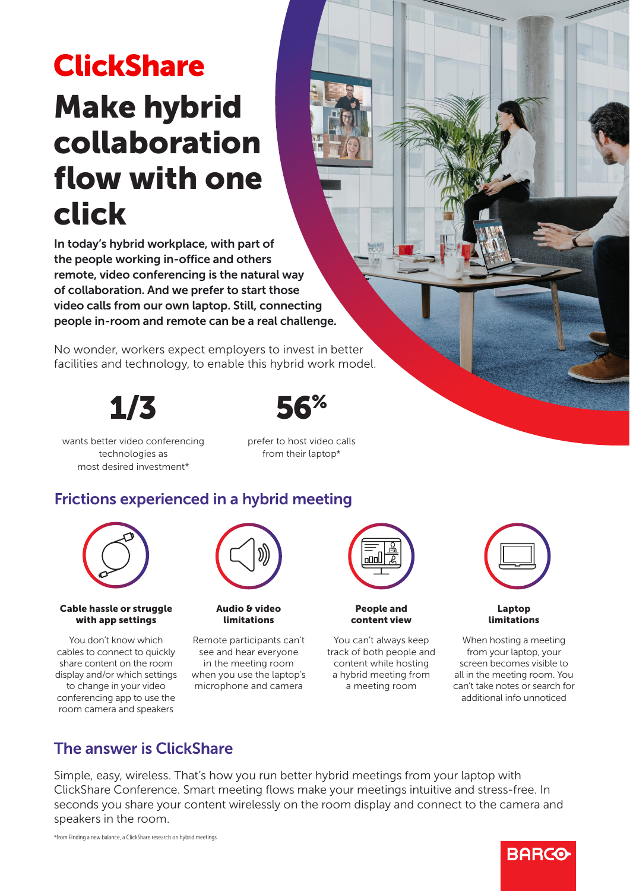# **ClickShare** Make hybrid collaboration flow with one click

In today's hybrid workplace, with part of the people working in-office and others remote, video conferencing is the natural way of collaboration. And we prefer to start those video calls from our own laptop. Still, connecting people in-room and remote can be a real challenge.

No wonder, workers expect employers to invest in better facilities and technology, to enable this hybrid work model.

1/3



wants better video conferencing technologies as most desired investment\*

prefer to host video calls from their laptop\*

## Frictions experienced in a hybrid meeting



#### Cable hassle or struggle with app settings

You don't know which cables to connect to quickly share content on the room display and/or which settings to change in your video conferencing app to use the room camera and speakers



Audio & video limitations

Remote participants can't see and hear everyone in the meeting room when you use the laptop's microphone and camera



People and content view

You can't always keep track of both people and content while hosting a hybrid meeting from a meeting room



Laptop limitations

When hosting a meeting from your laptop, your screen becomes visible to all in the meeting room. You can't take notes or search for additional info unnoticed

### The answer is ClickShare

Simple, easy, wireless. That's how you run better hybrid meetings from your laptop with ClickShare Conference. Smart meeting flows make your meetings intuitive and stress-free. In seconds you share your content wirelessly on the room display and connect to the camera and speakers in the room.

## **BARCO**